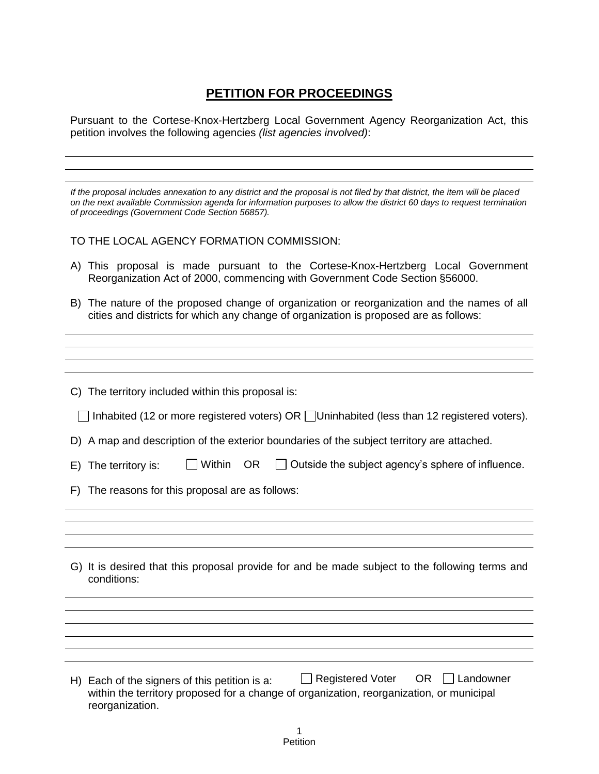## **PETITION FOR PROCEEDINGS**

Pursuant to the Cortese-Knox-Hertzberg Local Government Agency Reorganization Act, this petition involves the following agencies *(list agencies involved)*:

| If the proposal includes annexation to any district and the proposal is not filed by that district, the item will be placed<br>on the next available Commission agenda for information purposes to allow the district 60 days to request termination<br>of proceedings (Government Code Section 56857). |
|---------------------------------------------------------------------------------------------------------------------------------------------------------------------------------------------------------------------------------------------------------------------------------------------------------|
| TO THE LOCAL AGENCY FORMATION COMMISSION:                                                                                                                                                                                                                                                               |
| A) This proposal is made pursuant to the Cortese-Knox-Hertzberg Local Government<br>Reorganization Act of 2000, commencing with Government Code Section §56000.                                                                                                                                         |
| B) The nature of the proposed change of organization or reorganization and the names of all<br>cities and districts for which any change of organization is proposed are as follows:                                                                                                                    |
|                                                                                                                                                                                                                                                                                                         |
|                                                                                                                                                                                                                                                                                                         |
|                                                                                                                                                                                                                                                                                                         |
| C) The territory included within this proposal is:                                                                                                                                                                                                                                                      |
| $\Box$ Inhabited (12 or more registered voters) OR $\Box$ Uninhabited (less than 12 registered voters).                                                                                                                                                                                                 |
| D) A map and description of the exterior boundaries of the subject territory are attached.                                                                                                                                                                                                              |
| Within<br>OR.<br>Outside the subject agency's sphere of influence.<br>E) The territory is:                                                                                                                                                                                                              |
| F) The reasons for this proposal are as follows:                                                                                                                                                                                                                                                        |
|                                                                                                                                                                                                                                                                                                         |
|                                                                                                                                                                                                                                                                                                         |
|                                                                                                                                                                                                                                                                                                         |
| G) It is desired that this proposal provide for and be made subject to the following terms and<br>conditions:                                                                                                                                                                                           |
|                                                                                                                                                                                                                                                                                                         |
|                                                                                                                                                                                                                                                                                                         |
|                                                                                                                                                                                                                                                                                                         |
|                                                                                                                                                                                                                                                                                                         |
|                                                                                                                                                                                                                                                                                                         |
| <b>Registered Voter</b><br>OR.<br>Landowner<br>H) Each of the signers of this petition is a:<br>within the territory proposed for a change of organization, reorganization, or municipal<br>reorganization.                                                                                             |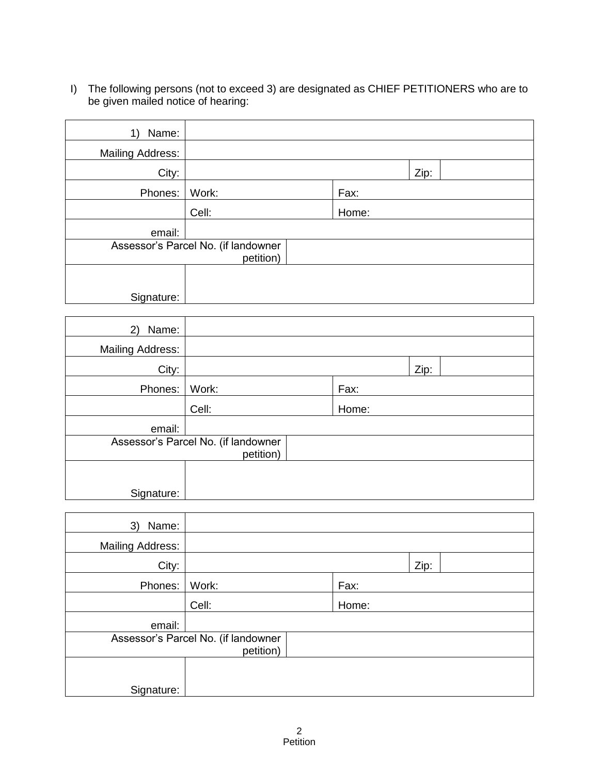I) The following persons (not to exceed 3) are designated as CHIEF PETITIONERS who are to be given mailed notice of hearing:

| Name:<br>1)             |                                     |       |      |  |
|-------------------------|-------------------------------------|-------|------|--|
| <b>Mailing Address:</b> |                                     |       |      |  |
| City:                   |                                     |       | Zip: |  |
| Phones:                 | Work:                               | Fax:  |      |  |
|                         | Cell:                               | Home: |      |  |
| email:                  |                                     |       |      |  |
|                         | Assessor's Parcel No. (if landowner |       |      |  |
|                         | petition)                           |       |      |  |
| Signature:              |                                     |       |      |  |

| Name:<br>2)             |                                     |       |      |  |
|-------------------------|-------------------------------------|-------|------|--|
| <b>Mailing Address:</b> |                                     |       |      |  |
| City:                   |                                     |       | Zip: |  |
| Phones:                 | Work:                               | Fax:  |      |  |
|                         | Cell:                               | Home: |      |  |
| email:                  |                                     |       |      |  |
|                         | Assessor's Parcel No. (if landowner |       |      |  |
|                         | petition)                           |       |      |  |
|                         |                                     |       |      |  |
| Signature:              |                                     |       |      |  |

| Name:<br>3)             |                                                  |       |      |  |
|-------------------------|--------------------------------------------------|-------|------|--|
| <b>Mailing Address:</b> |                                                  |       |      |  |
| City:                   |                                                  |       | Zip: |  |
| Phones:                 | Work:                                            | Fax:  |      |  |
|                         | Cell:                                            | Home: |      |  |
| email:                  |                                                  |       |      |  |
|                         | Assessor's Parcel No. (if landowner<br>petition) |       |      |  |
|                         |                                                  |       |      |  |
| Signature:              |                                                  |       |      |  |